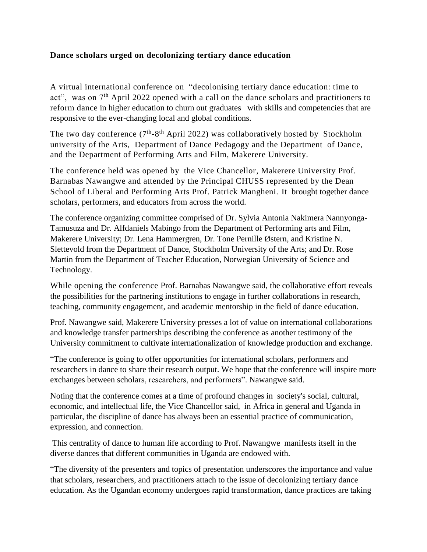## **Dance scholars urged on decolonizing tertiary dance education**

A virtual international conference on "decolonising tertiary dance education: time to act", was on 7<sup>th</sup> April 2022 opened with a call on the dance scholars and practitioners to reform dance in higher education to churn out graduates with skills and competencies that are responsive to the ever-changing local and global conditions.

The two day conference  $(7<sup>th</sup>-8<sup>th</sup>$  April 2022) was collaboratively hosted by Stockholm university of the Arts, Department of Dance Pedagogy and the Department of Dance, and the Department of Performing Arts and Film, Makerere University.

The conference held was opened by the Vice Chancellor, Makerere University Prof. Barnabas Nawangwe and attended by the Principal CHUSS represented by the Dean School of Liberal and Performing Arts Prof. Patrick Mangheni. It brought together dance scholars, performers, and educators from across the world.

The conference organizing committee comprised of Dr. Sylvia Antonia Nakimera Nannyonga-Tamusuza and Dr. Alfdaniels Mabingo from the Department of Performing arts and Film, Makerere University; Dr. Lena Hammergren, Dr. Tone Pernille Østern, and Kristine N. Slettevold from the Department of Dance, Stockholm University of the Arts; and Dr. Rose Martin from the Department of Teacher Education, Norwegian University of Science and Technology.

While opening the conference Prof. Barnabas Nawangwe said, the collaborative effort reveals the possibilities for the partnering institutions to engage in further collaborations in research, teaching, community engagement, and academic mentorship in the field of dance education.

Prof. Nawangwe said, Makerere University presses a lot of value on international collaborations and knowledge transfer partnerships describing the conference as another testimony of the University commitment to cultivate internationalization of knowledge production and exchange.

"The conference is going to offer opportunities for international scholars, performers and researchers in dance to share their research output. We hope that the conference will inspire more exchanges between scholars, researchers, and performers". Nawangwe said.

Noting that the conference comes at a time of profound changes in society's social, cultural, economic, and intellectual life, the Vice Chancellor said, in Africa in general and Uganda in particular, the discipline of dance has always been an essential practice of communication, expression, and connection.

This centrality of dance to human life according to Prof. Nawangwe manifests itself in the diverse dances that different communities in Uganda are endowed with.

"The diversity of the presenters and topics of presentation underscores the importance and value that scholars, researchers, and practitioners attach to the issue of decolonizing tertiary dance education. As the Ugandan economy undergoes rapid transformation, dance practices are taking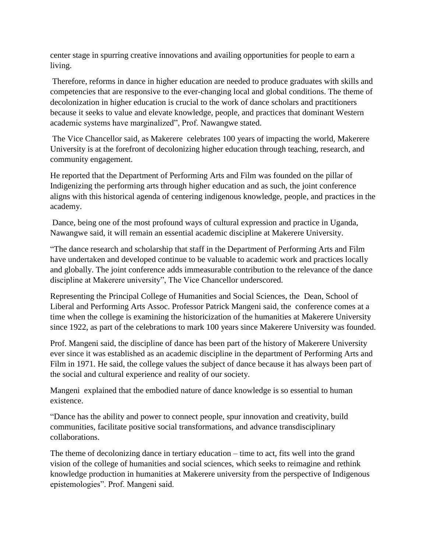center stage in spurring creative innovations and availing opportunities for people to earn a living.

Therefore, reforms in dance in higher education are needed to produce graduates with skills and competencies that are responsive to the ever-changing local and global conditions. The theme of decolonization in higher education is crucial to the work of dance scholars and practitioners because it seeks to value and elevate knowledge, people, and practices that dominant Western academic systems have marginalized", Prof. Nawangwe stated.

The Vice Chancellor said, as Makerere celebrates 100 years of impacting the world, Makerere University is at the forefront of decolonizing higher education through teaching, research, and community engagement.

He reported that the Department of Performing Arts and Film was founded on the pillar of Indigenizing the performing arts through higher education and as such, the joint conference aligns with this historical agenda of centering indigenous knowledge, people, and practices in the academy.

Dance, being one of the most profound ways of cultural expression and practice in Uganda, Nawangwe said, it will remain an essential academic discipline at Makerere University.

"The dance research and scholarship that staff in the Department of Performing Arts and Film have undertaken and developed continue to be valuable to academic work and practices locally and globally. The joint conference adds immeasurable contribution to the relevance of the dance discipline at Makerere university", The Vice Chancellor underscored.

Representing the Principal College of Humanities and Social Sciences, the Dean, School of Liberal and Performing Arts Assoc. Professor Patrick Mangeni said, the conference comes at a time when the college is examining the historicization of the humanities at Makerere University since 1922, as part of the celebrations to mark 100 years since Makerere University was founded.

Prof. Mangeni said, the discipline of dance has been part of the history of Makerere University ever since it was established as an academic discipline in the department of Performing Arts and Film in 1971. He said, the college values the subject of dance because it has always been part of the social and cultural experience and reality of our society.

Mangeni explained that the embodied nature of dance knowledge is so essential to human existence.

"Dance has the ability and power to connect people, spur innovation and creativity, build communities, facilitate positive social transformations, and advance transdisciplinary collaborations.

The theme of decolonizing dance in tertiary education – time to act, fits well into the grand vision of the college of humanities and social sciences, which seeks to reimagine and rethink knowledge production in humanities at Makerere university from the perspective of Indigenous epistemologies". Prof. Mangeni said.